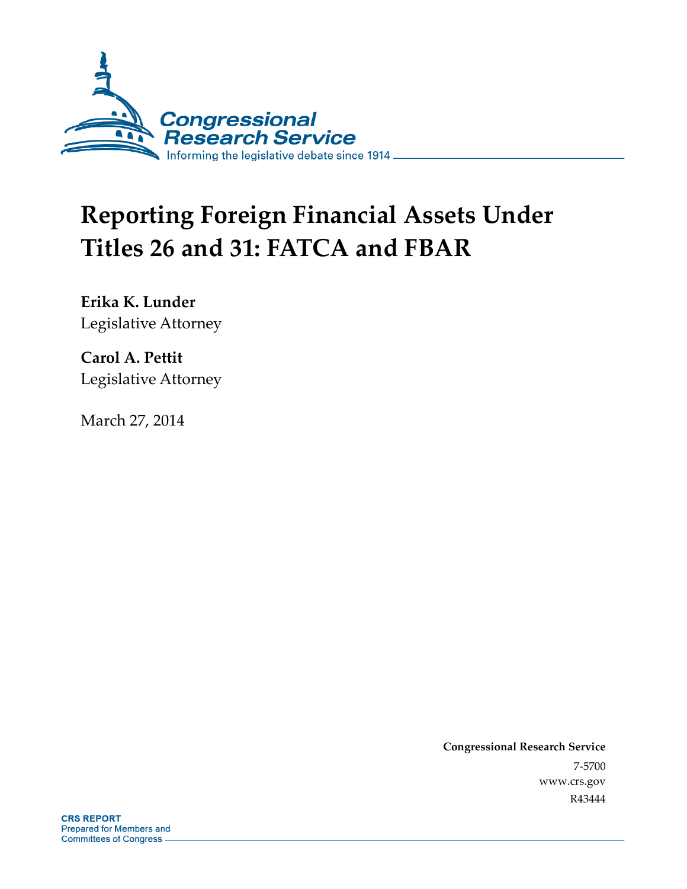

# **Reporting Foreign Financial Assets Under Titles 26 and 31: FATCA and FBAR**

**Erika K. Lunder**  Legislative Attorney

**Carol A. Pettit**  Legislative Attorney

March 27, 2014

**Congressional Research Service**  7-5700 www.crs.gov R43444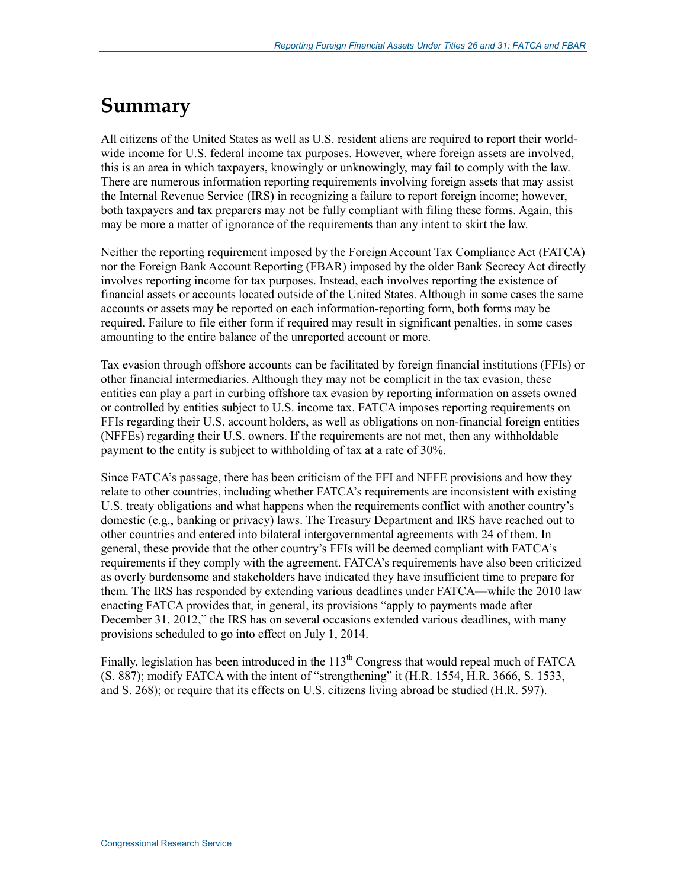## **Summary**

All citizens of the United States as well as U.S. resident aliens are required to report their worldwide income for U.S. federal income tax purposes. However, where foreign assets are involved, this is an area in which taxpayers, knowingly or unknowingly, may fail to comply with the law. There are numerous information reporting requirements involving foreign assets that may assist the Internal Revenue Service (IRS) in recognizing a failure to report foreign income; however, both taxpayers and tax preparers may not be fully compliant with filing these forms. Again, this may be more a matter of ignorance of the requirements than any intent to skirt the law.

Neither the reporting requirement imposed by the Foreign Account Tax Compliance Act (FATCA) nor the Foreign Bank Account Reporting (FBAR) imposed by the older Bank Secrecy Act directly involves reporting income for tax purposes. Instead, each involves reporting the existence of financial assets or accounts located outside of the United States. Although in some cases the same accounts or assets may be reported on each information-reporting form, both forms may be required. Failure to file either form if required may result in significant penalties, in some cases amounting to the entire balance of the unreported account or more.

Tax evasion through offshore accounts can be facilitated by foreign financial institutions (FFIs) or other financial intermediaries. Although they may not be complicit in the tax evasion, these entities can play a part in curbing offshore tax evasion by reporting information on assets owned or controlled by entities subject to U.S. income tax. FATCA imposes reporting requirements on FFIs regarding their U.S. account holders, as well as obligations on non-financial foreign entities (NFFEs) regarding their U.S. owners. If the requirements are not met, then any withholdable payment to the entity is subject to withholding of tax at a rate of 30%.

Since FATCA's passage, there has been criticism of the FFI and NFFE provisions and how they relate to other countries, including whether FATCA's requirements are inconsistent with existing U.S. treaty obligations and what happens when the requirements conflict with another country's domestic (e.g., banking or privacy) laws. The Treasury Department and IRS have reached out to other countries and entered into bilateral intergovernmental agreements with 24 of them. In general, these provide that the other country's FFIs will be deemed compliant with FATCA's requirements if they comply with the agreement. FATCA's requirements have also been criticized as overly burdensome and stakeholders have indicated they have insufficient time to prepare for them. The IRS has responded by extending various deadlines under FATCA—while the 2010 law enacting FATCA provides that, in general, its provisions "apply to payments made after December 31, 2012," the IRS has on several occasions extended various deadlines, with many provisions scheduled to go into effect on July 1, 2014.

Finally, legislation has been introduced in the  $113<sup>th</sup>$  Congress that would repeal much of FATCA (S. 887); modify FATCA with the intent of "strengthening" it (H.R. 1554, H.R. 3666, S. 1533, and S. 268); or require that its effects on U.S. citizens living abroad be studied (H.R. 597).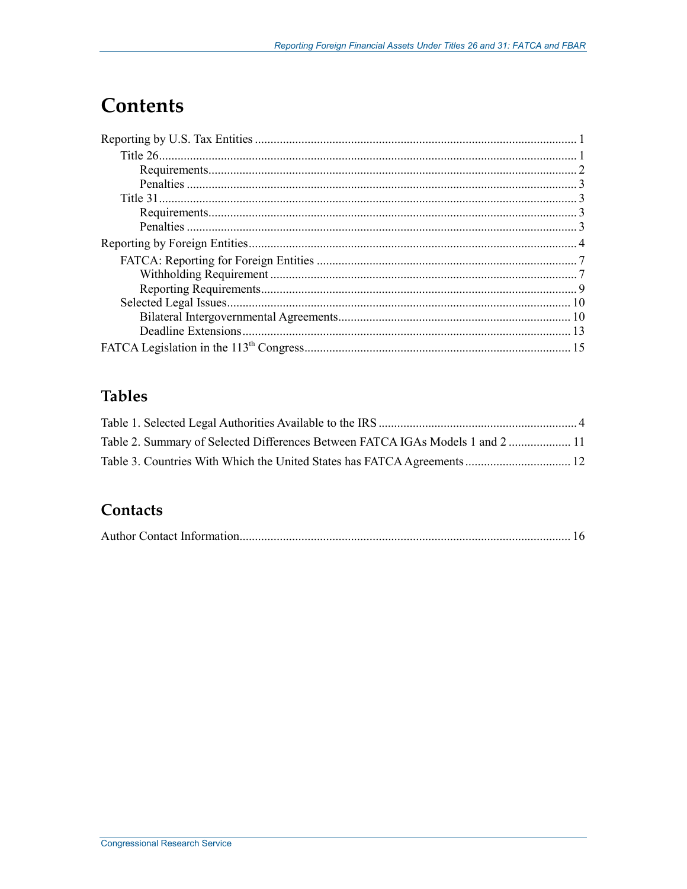## **Contents**

## **Tables**

| Table 2. Summary of Selected Differences Between FATCA IGAs Models 1 and 2  11 |  |
|--------------------------------------------------------------------------------|--|
|                                                                                |  |

### Contacts

|--|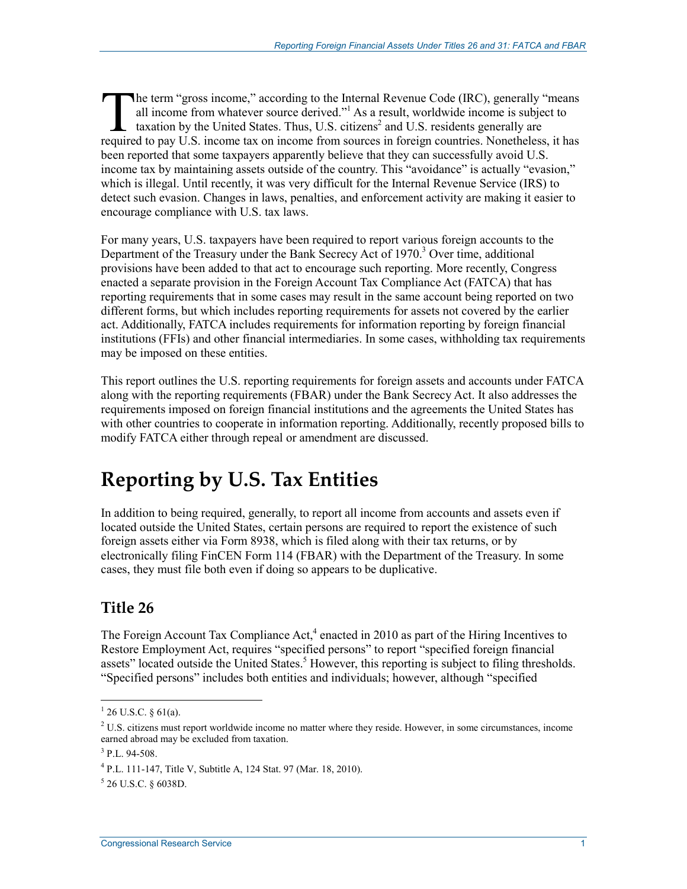he term "gross income," according to the Internal Revenue Code (IRC), generally "means all income from whatever source derived."1 As a result, worldwide income is subject to taxation by the United States. Thus, U.S. citizens<sup>2</sup> and U.S. residents generally are The term "gross income," according to the Internal Revenue Code (IRC), generally "means all income from whatever source derived."<sup>1</sup> As a result, worldwide income is subject to taxation by the United States. Thus, U.S. cit been reported that some taxpayers apparently believe that they can successfully avoid U.S. income tax by maintaining assets outside of the country. This "avoidance" is actually "evasion," which is illegal. Until recently, it was very difficult for the Internal Revenue Service (IRS) to detect such evasion. Changes in laws, penalties, and enforcement activity are making it easier to encourage compliance with U.S. tax laws.

For many years, U.S. taxpayers have been required to report various foreign accounts to the Department of the Treasury under the Bank Secrecy Act of 1970.<sup>3</sup> Over time, additional provisions have been added to that act to encourage such reporting. More recently, Congress enacted a separate provision in the Foreign Account Tax Compliance Act (FATCA) that has reporting requirements that in some cases may result in the same account being reported on two different forms, but which includes reporting requirements for assets not covered by the earlier act. Additionally, FATCA includes requirements for information reporting by foreign financial institutions (FFIs) and other financial intermediaries. In some cases, withholding tax requirements may be imposed on these entities.

This report outlines the U.S. reporting requirements for foreign assets and accounts under FATCA along with the reporting requirements (FBAR) under the Bank Secrecy Act. It also addresses the requirements imposed on foreign financial institutions and the agreements the United States has with other countries to cooperate in information reporting. Additionally, recently proposed bills to modify FATCA either through repeal or amendment are discussed.

## **Reporting by U.S. Tax Entities**

In addition to being required, generally, to report all income from accounts and assets even if located outside the United States, certain persons are required to report the existence of such foreign assets either via Form 8938, which is filed along with their tax returns, or by electronically filing FinCEN Form 114 (FBAR) with the Department of the Treasury. In some cases, they must file both even if doing so appears to be duplicative.

### **Title 26**

The Foreign Account Tax Compliance Act, $4$  enacted in 2010 as part of the Hiring Incentives to Restore Employment Act, requires "specified persons" to report "specified foreign financial assets" located outside the United States.<sup>5</sup> However, this reporting is subject to filing thresholds. "Specified persons" includes both entities and individuals; however, although "specified

 $1$  26 U.S.C. § 61(a).

 $2$  U.S. citizens must report worldwide income no matter where they reside. However, in some circumstances, income earned abroad may be excluded from taxation.

<sup>3</sup> P.L. 94-508.

<sup>4</sup> P.L. 111-147, Title V, Subtitle A, 124 Stat. 97 (Mar. 18, 2010).

 $5$  26 U.S.C. § 6038D.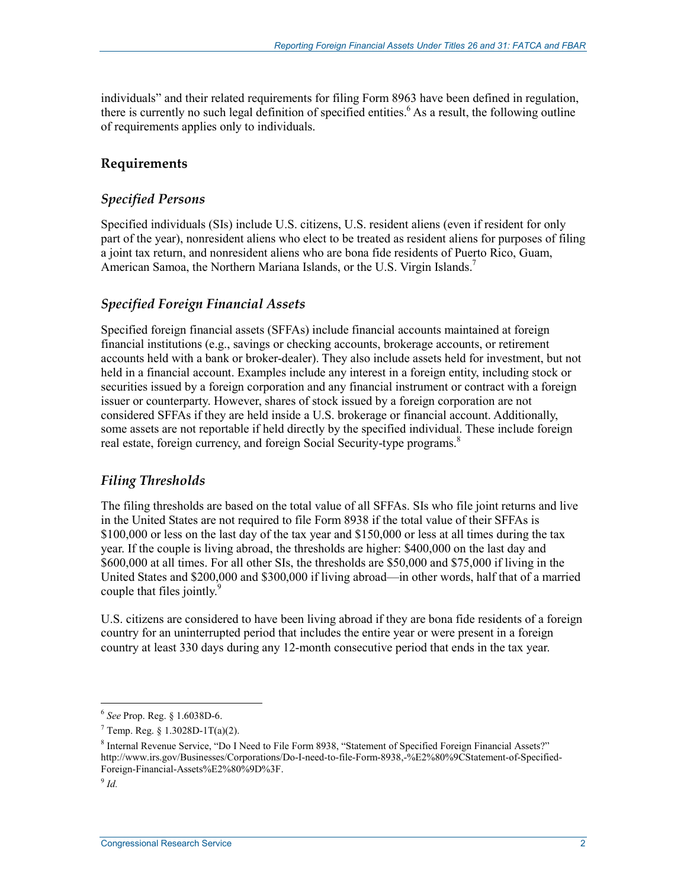individuals" and their related requirements for filing Form 8963 have been defined in regulation, there is currently no such legal definition of specified entities.<sup>6</sup> As a result, the following outline of requirements applies only to individuals.

### **Requirements**

#### *Specified Persons*

Specified individuals (SIs) include U.S. citizens, U.S. resident aliens (even if resident for only part of the year), nonresident aliens who elect to be treated as resident aliens for purposes of filing a joint tax return, and nonresident aliens who are bona fide residents of Puerto Rico, Guam, American Samoa, the Northern Mariana Islands, or the U.S. Virgin Islands.<sup>7</sup>

#### *Specified Foreign Financial Assets*

Specified foreign financial assets (SFFAs) include financial accounts maintained at foreign financial institutions (e.g., savings or checking accounts, brokerage accounts, or retirement accounts held with a bank or broker-dealer). They also include assets held for investment, but not held in a financial account. Examples include any interest in a foreign entity, including stock or securities issued by a foreign corporation and any financial instrument or contract with a foreign issuer or counterparty. However, shares of stock issued by a foreign corporation are not considered SFFAs if they are held inside a U.S. brokerage or financial account. Additionally, some assets are not reportable if held directly by the specified individual. These include foreign real estate, foreign currency, and foreign Social Security-type programs.<sup>8</sup>

### *Filing Thresholds*

The filing thresholds are based on the total value of all SFFAs. SIs who file joint returns and live in the United States are not required to file Form 8938 if the total value of their SFFAs is \$100,000 or less on the last day of the tax year and \$150,000 or less at all times during the tax year. If the couple is living abroad, the thresholds are higher: \$400,000 on the last day and \$600,000 at all times. For all other SIs, the thresholds are \$50,000 and \$75,000 if living in the United States and \$200,000 and \$300,000 if living abroad—in other words, half that of a married couple that files jointly.<sup>9</sup>

U.S. citizens are considered to have been living abroad if they are bona fide residents of a foreign country for an uninterrupted period that includes the entire year or were present in a foreign country at least 330 days during any 12-month consecutive period that ends in the tax year.

<sup>6</sup> *See* Prop. Reg. § 1.6038D-6.

 $7$  Temp. Reg. § 1.3028D-1T(a)(2).

<sup>&</sup>lt;sup>8</sup> Internal Revenue Service, "Do I Need to File Form 8938, "Statement of Specified Foreign Financial Assets?" http://www.irs.gov/Businesses/Corporations/Do-I-need-to-file-Form-8938,-%E2%80%9CStatement-of-Specified-Foreign-Financial-Assets%E2%80%9D%3F.

 $9$   $Id$ .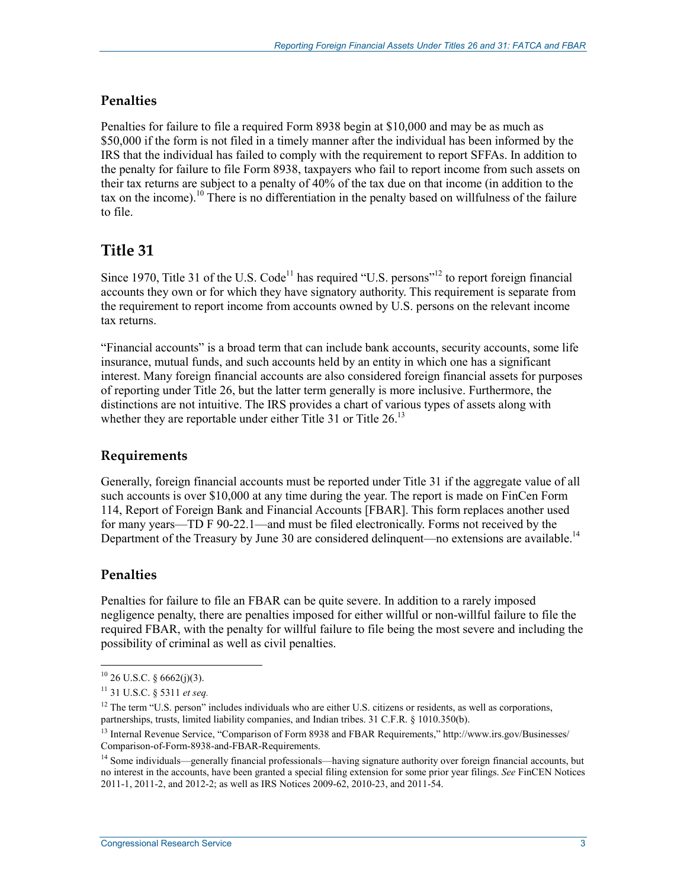### **Penalties**

Penalties for failure to file a required Form 8938 begin at \$10,000 and may be as much as \$50,000 if the form is not filed in a timely manner after the individual has been informed by the IRS that the individual has failed to comply with the requirement to report SFFAs. In addition to the penalty for failure to file Form 8938, taxpayers who fail to report income from such assets on their tax returns are subject to a penalty of 40% of the tax due on that income (in addition to the tax on the income).<sup>10</sup> There is no differentiation in the penalty based on willfulness of the failure to file.

### **Title 31**

Since 1970, Title 31 of the U.S. Code<sup>11</sup> has required "U.S. persons"<sup>12</sup> to report foreign financial accounts they own or for which they have signatory authority. This requirement is separate from the requirement to report income from accounts owned by U.S. persons on the relevant income tax returns.

"Financial accounts" is a broad term that can include bank accounts, security accounts, some life insurance, mutual funds, and such accounts held by an entity in which one has a significant interest. Many foreign financial accounts are also considered foreign financial assets for purposes of reporting under Title 26, but the latter term generally is more inclusive. Furthermore, the distinctions are not intuitive. The IRS provides a chart of various types of assets along with whether they are reportable under either Title 31 or Title  $26$ .<sup>13</sup>

### **Requirements**

Generally, foreign financial accounts must be reported under Title 31 if the aggregate value of all such accounts is over \$10,000 at any time during the year. The report is made on FinCen Form 114, Report of Foreign Bank and Financial Accounts [FBAR]. This form replaces another used for many years—TD F 90-22.1—and must be filed electronically. Forms not received by the Department of the Treasury by June 30 are considered delinquent—no extensions are available.<sup>14</sup>

### **Penalties**

1

Penalties for failure to file an FBAR can be quite severe. In addition to a rarely imposed negligence penalty, there are penalties imposed for either willful or non-willful failure to file the required FBAR, with the penalty for willful failure to file being the most severe and including the possibility of criminal as well as civil penalties.

 $10$  26 U.S.C. § 6662(j)(3).

<sup>11 31</sup> U.S.C. § 5311 *et seq.*

 $12$  The term "U.S. person" includes individuals who are either U.S. citizens or residents, as well as corporations, partnerships, trusts, limited liability companies, and Indian tribes. 31 C.F.R. § 1010.350(b).

<sup>&</sup>lt;sup>13</sup> Internal Revenue Service, "Comparison of Form 8938 and FBAR Requirements," http://www.irs.gov/Businesses/ Comparison-of-Form-8938-and-FBAR-Requirements.

<sup>&</sup>lt;sup>14</sup> Some individuals—generally financial professionals—having signature authority over foreign financial accounts, but no interest in the accounts, have been granted a special filing extension for some prior year filings. *See* FinCEN Notices 2011-1, 2011-2, and 2012-2; as well as IRS Notices 2009-62, 2010-23, and 2011-54.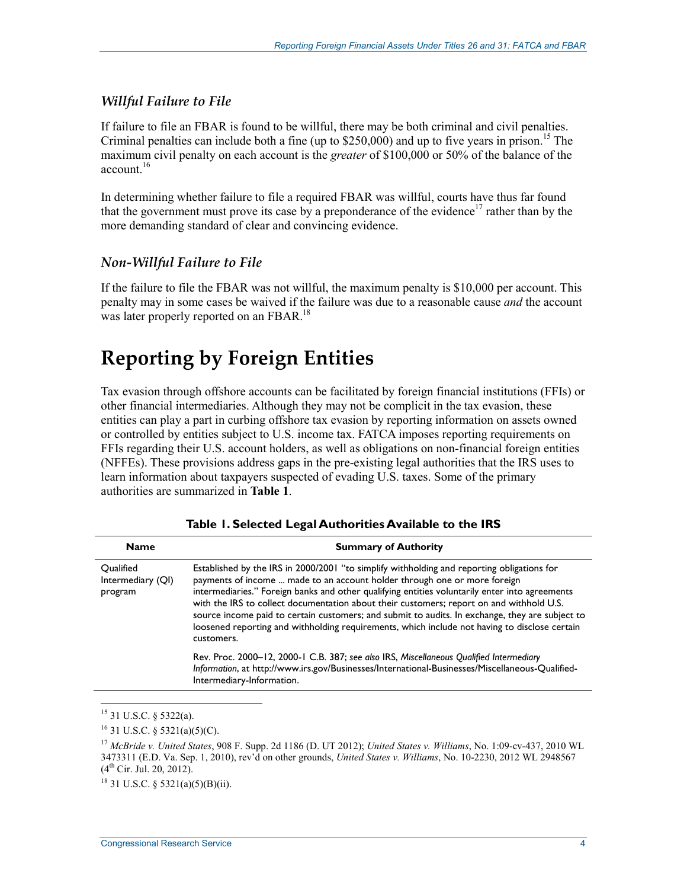### *Willful Failure to File*

If failure to file an FBAR is found to be willful, there may be both criminal and civil penalties. Criminal penalties can include both a fine (up to  $$250,000$ ) and up to five years in prison.<sup>15</sup> The maximum civil penalty on each account is the *greater* of \$100,000 or 50% of the balance of the account. $16$ 

In determining whether failure to file a required FBAR was willful, courts have thus far found that the government must prove its case by a preponderance of the evidence<sup>17</sup> rather than by the more demanding standard of clear and convincing evidence.

### *Non-Willful Failure to File*

If the failure to file the FBAR was not willful, the maximum penalty is \$10,000 per account. This penalty may in some cases be waived if the failure was due to a reasonable cause *and* the account was later properly reported on an FBAR.<sup>18</sup>

## **Reporting by Foreign Entities**

Tax evasion through offshore accounts can be facilitated by foreign financial institutions (FFIs) or other financial intermediaries. Although they may not be complicit in the tax evasion, these entities can play a part in curbing offshore tax evasion by reporting information on assets owned or controlled by entities subject to U.S. income tax. FATCA imposes reporting requirements on FFIs regarding their U.S. account holders, as well as obligations on non-financial foreign entities (NFFEs). These provisions address gaps in the pre-existing legal authorities that the IRS uses to learn information about taxpayers suspected of evading U.S. taxes. Some of the primary authorities are summarized in **Table 1**.

| <b>Name</b>                               | <b>Summary of Authority</b>                                                                                                                                                                                                                                                                                                                                                                                                                                                                                                                                                             |  |  |
|-------------------------------------------|-----------------------------------------------------------------------------------------------------------------------------------------------------------------------------------------------------------------------------------------------------------------------------------------------------------------------------------------------------------------------------------------------------------------------------------------------------------------------------------------------------------------------------------------------------------------------------------------|--|--|
| Qualified<br>Intermediary (QI)<br>program | Established by the IRS in 2000/2001 "to simplify withholding and reporting obligations for<br>payments of income  made to an account holder through one or more foreign<br>intermediaries." Foreign banks and other qualifying entities voluntarily enter into agreements<br>with the IRS to collect documentation about their customers; report on and withhold U.S.<br>source income paid to certain customers; and submit to audits. In exchange, they are subject to<br>loosened reporting and withholding requirements, which include not having to disclose certain<br>customers. |  |  |
|                                           | Rev. Proc. 2000–12, 2000-1 C.B. 387; see also IRS, Miscellaneous Qualified Intermediary<br>Information, at http://www.irs.gov/Businesses/International-Businesses/Miscellaneous-Qualified-<br>Intermediary-Information.                                                                                                                                                                                                                                                                                                                                                                 |  |  |

<sup>1</sup> 15 31 U.S.C. § 5322(a).

 $16$  31 U.S.C. § 5321(a)(5)(C).

<sup>17</sup> *McBride v. United States*, 908 F. Supp. 2d 1186 (D. UT 2012); *United States v. Williams*, No. 1:09-cv-437, 2010 WL 3473311 (E.D. Va. Sep. 1, 2010), rev'd on other grounds, *United States v. Williams*, No. 10-2230, 2012 WL 2948567  $(4^{th}$  Cir. Jul. 20, 2012).

 $18$  31 U.S.C. § 5321(a)(5)(B)(ii).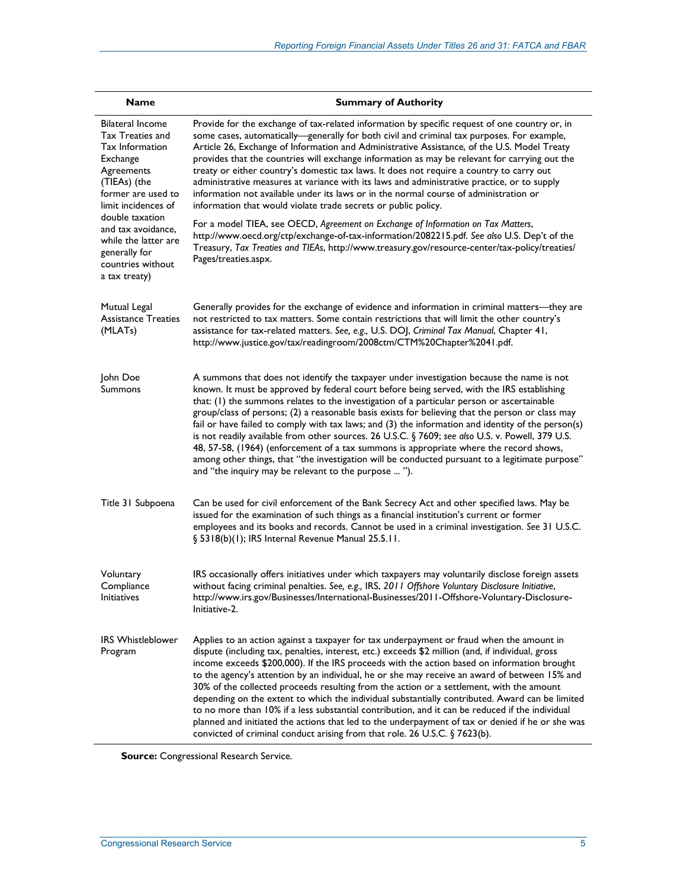| <b>Name</b>                                                                                                                                                  | <b>Summary of Authority</b>                                                                                                                                                                                                                                                                                                                                                                                                                                                                                                                                                                                                                                                                                                                                                                                                                                                       |  |
|--------------------------------------------------------------------------------------------------------------------------------------------------------------|-----------------------------------------------------------------------------------------------------------------------------------------------------------------------------------------------------------------------------------------------------------------------------------------------------------------------------------------------------------------------------------------------------------------------------------------------------------------------------------------------------------------------------------------------------------------------------------------------------------------------------------------------------------------------------------------------------------------------------------------------------------------------------------------------------------------------------------------------------------------------------------|--|
| <b>Bilateral Income</b><br><b>Tax Treaties and</b><br>Tax Information<br>Exchange<br>Agreements<br>(TIEAs) (the<br>former are used to<br>limit incidences of | Provide for the exchange of tax-related information by specific request of one country or, in<br>some cases, automatically—generally for both civil and criminal tax purposes. For example,<br>Article 26, Exchange of Information and Administrative Assistance, of the U.S. Model Treaty<br>provides that the countries will exchange information as may be relevant for carrying out the<br>treaty or either country's domestic tax laws. It does not require a country to carry out<br>administrative measures at variance with its laws and administrative practice, or to supply<br>information not available under its laws or in the normal course of administration or<br>information that would violate trade secrets or public policy.                                                                                                                                 |  |
| double taxation<br>and tax avoidance,<br>while the latter are<br>generally for<br>countries without<br>a tax treaty)                                         | For a model TIEA, see OECD, Agreement on Exchange of Information on Tax Matters,<br>http://www.oecd.org/ctp/exchange-of-tax-information/2082215.pdf. See also U.S. Dep't of the<br>Treasury, Tax Treaties and TIEAs, http://www.treasury.gov/resource-center/tax-policy/treaties/<br>Pages/treaties.aspx.                                                                                                                                                                                                                                                                                                                                                                                                                                                                                                                                                                         |  |
| Mutual Legal<br><b>Assistance Treaties</b><br>(MLAT <sub>s</sub> )                                                                                           | Generally provides for the exchange of evidence and information in criminal matters-they are<br>not restricted to tax matters. Some contain restrictions that will limit the other country's<br>assistance for tax-related matters. See, e.g., U.S. DOJ, Criminal Tax Manual, Chapter 41,<br>http://www.justice.gov/tax/readingroom/2008ctm/CTM%20Chapter%2041.pdf.                                                                                                                                                                                                                                                                                                                                                                                                                                                                                                               |  |
| John Doe<br>Summons                                                                                                                                          | A summons that does not identify the taxpayer under investigation because the name is not<br>known. It must be approved by federal court before being served, with the IRS establishing<br>that: (1) the summons relates to the investigation of a particular person or ascertainable<br>group/class of persons; (2) a reasonable basis exists for believing that the person or class may<br>fail or have failed to comply with tax laws; and (3) the information and identity of the person(s)<br>is not readily available from other sources. 26 U.S.C. § 7609; see also U.S. v. Powell, 379 U.S.<br>48, 57-58, (1964) (enforcement of a tax summons is appropriate where the record shows,<br>among other things, that "the investigation will be conducted pursuant to a legitimate purpose"<br>and "the inquiry may be relevant to the purpose  ").                          |  |
| Title 31 Subpoena                                                                                                                                            | Can be used for civil enforcement of the Bank Secrecy Act and other specified laws. May be<br>issued for the examination of such things as a financial institution's current or former<br>employees and its books and records. Cannot be used in a criminal investigation. See 31 U.S.C.<br>§ 5318(b)(1); IRS Internal Revenue Manual 25.5.11.                                                                                                                                                                                                                                                                                                                                                                                                                                                                                                                                    |  |
| Voluntary<br>Compliance<br>Initiatives                                                                                                                       | IRS occasionally offers initiatives under which taxpayers may voluntarily disclose foreign assets<br>without facing criminal penalties. See, e.g., IRS, 2011 Offshore Voluntary Disclosure Initiative,<br>http://www.irs.gov/Businesses/International-Businesses/2011-Offshore-Voluntary-Disclosure-<br>Initiative-2.                                                                                                                                                                                                                                                                                                                                                                                                                                                                                                                                                             |  |
| <b>IRS Whistleblower</b><br>Program                                                                                                                          | Applies to an action against a taxpayer for tax underpayment or fraud when the amount in<br>dispute (including tax, penalties, interest, etc.) exceeds \$2 million (and, if individual, gross<br>income exceeds \$200,000). If the IRS proceeds with the action based on information brought<br>to the agency's attention by an individual, he or she may receive an award of between 15% and<br>30% of the collected proceeds resulting from the action or a settlement, with the amount<br>depending on the extent to which the individual substantially contributed. Award can be limited<br>to no more than 10% if a less substantial contribution, and it can be reduced if the individual<br>planned and initiated the actions that led to the underpayment of tax or denied if he or she was<br>convicted of criminal conduct arising from that role. 26 U.S.C. § 7623(b). |  |

**Source:** Congressional Research Service.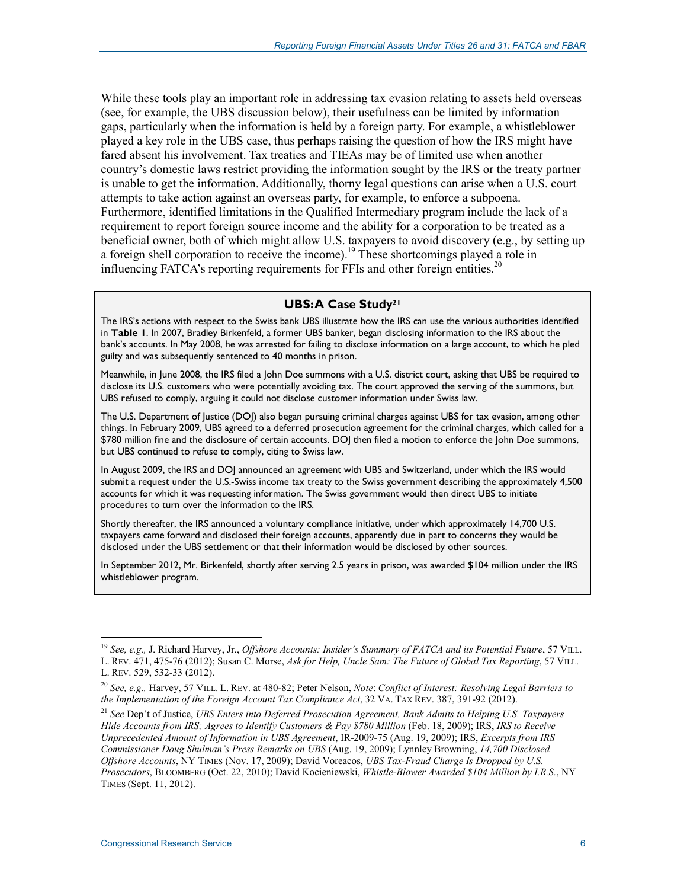While these tools play an important role in addressing tax evasion relating to assets held overseas (see, for example, the UBS discussion below), their usefulness can be limited by information gaps, particularly when the information is held by a foreign party. For example, a whistleblower played a key role in the UBS case, thus perhaps raising the question of how the IRS might have fared absent his involvement. Tax treaties and TIEAs may be of limited use when another country's domestic laws restrict providing the information sought by the IRS or the treaty partner is unable to get the information. Additionally, thorny legal questions can arise when a U.S. court attempts to take action against an overseas party, for example, to enforce a subpoena. Furthermore, identified limitations in the Qualified Intermediary program include the lack of a requirement to report foreign source income and the ability for a corporation to be treated as a beneficial owner, both of which might allow U.S. taxpayers to avoid discovery (e.g., by setting up a foreign shell corporation to receive the income).19 These shortcomings played a role in influencing FATCA's reporting requirements for FFIs and other foreign entities.<sup>20</sup>

#### **UBS: A Case Study21**

The IRS's actions with respect to the Swiss bank UBS illustrate how the IRS can use the various authorities identified in **Table 1**. In 2007, Bradley Birkenfeld, a former UBS banker, began disclosing information to the IRS about the bank's accounts. In May 2008, he was arrested for failing to disclose information on a large account, to which he pled guilty and was subsequently sentenced to 40 months in prison.

Meanwhile, in June 2008, the IRS filed a John Doe summons with a U.S. district court, asking that UBS be required to disclose its U.S. customers who were potentially avoiding tax. The court approved the serving of the summons, but UBS refused to comply, arguing it could not disclose customer information under Swiss law.

The U.S. Department of Justice (DOJ) also began pursuing criminal charges against UBS for tax evasion, among other things. In February 2009, UBS agreed to a deferred prosecution agreement for the criminal charges, which called for a \$780 million fine and the disclosure of certain accounts. DOJ then filed a motion to enforce the John Doe summons, but UBS continued to refuse to comply, citing to Swiss law.

In August 2009, the IRS and DOJ announced an agreement with UBS and Switzerland, under which the IRS would submit a request under the U.S.-Swiss income tax treaty to the Swiss government describing the approximately 4,500 accounts for which it was requesting information. The Swiss government would then direct UBS to initiate procedures to turn over the information to the IRS.

Shortly thereafter, the IRS announced a voluntary compliance initiative, under which approximately 14,700 U.S. taxpayers came forward and disclosed their foreign accounts, apparently due in part to concerns they would be disclosed under the UBS settlement or that their information would be disclosed by other sources.

In September 2012, Mr. Birkenfeld, shortly after serving 2.5 years in prison, was awarded \$104 million under the IRS whistleblower program.

<sup>19</sup> *See, e.g.,* J. Richard Harvey, Jr., *Offshore Accounts: Insider's Summary of FATCA and its Potential Future*, 57 VILL. L. REV. 471, 475-76 (2012); Susan C. Morse, *Ask for Help, Uncle Sam: The Future of Global Tax Reporting*, 57 VILL. L. REV. 529, 532-33 (2012).

<sup>20</sup> *See, e.g.,* Harvey, 57 VILL. L. REV. at 480-82; Peter Nelson, *Note*: *Conflict of Interest: Resolving Legal Barriers to the Implementation of the Foreign Account Tax Compliance Act*, 32 VA. TAX REV. 387, 391-92 (2012).

<sup>21</sup> *See* Dep't of Justice, *UBS Enters into Deferred Prosecution Agreement, Bank Admits to Helping U.S. Taxpayers Hide Accounts from IRS; Agrees to Identify Customers & Pay \$780 Million* (Feb. 18, 2009); IRS, *IRS to Receive Unprecedented Amount of Information in UBS Agreement*, IR-2009-75 (Aug. 19, 2009); IRS, *Excerpts from IRS Commissioner Doug Shulman's Press Remarks on UBS* (Aug. 19, 2009); Lynnley Browning, *14,700 Disclosed Offshore Accounts*, NY TIMES (Nov. 17, 2009); David Voreacos, *UBS Tax-Fraud Charge Is Dropped by U.S. Prosecutors*, BLOOMBERG (Oct. 22, 2010); David Kocieniewski, *Whistle-Blower Awarded \$104 Million by I.R.S.*, NY TIMES (Sept. 11, 2012).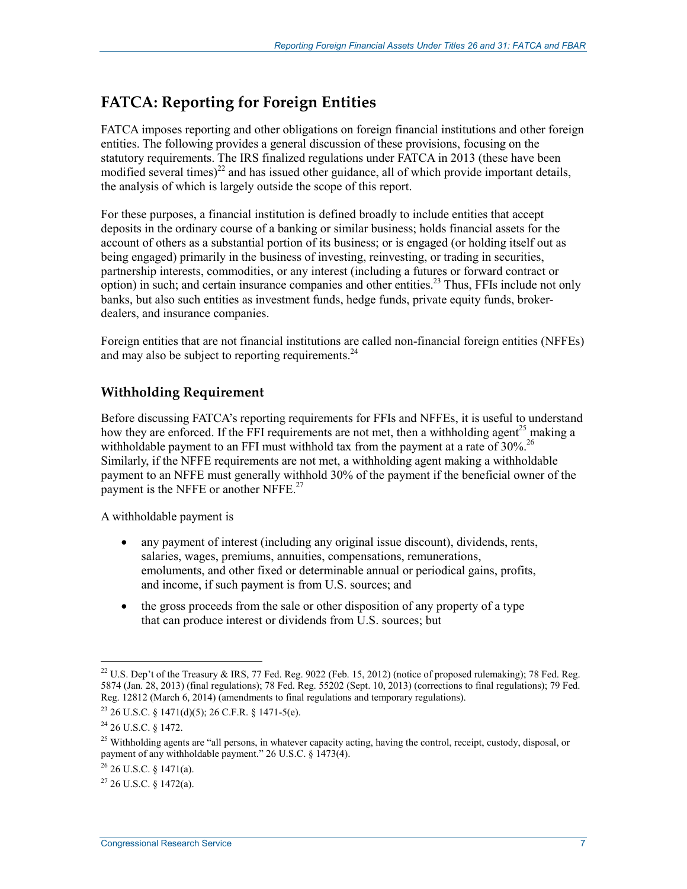## **FATCA: Reporting for Foreign Entities**

FATCA imposes reporting and other obligations on foreign financial institutions and other foreign entities. The following provides a general discussion of these provisions, focusing on the statutory requirements. The IRS finalized regulations under FATCA in 2013 (these have been modified several times)<sup>22</sup> and has issued other guidance, all of which provide important details, the analysis of which is largely outside the scope of this report.

For these purposes, a financial institution is defined broadly to include entities that accept deposits in the ordinary course of a banking or similar business; holds financial assets for the account of others as a substantial portion of its business; or is engaged (or holding itself out as being engaged) primarily in the business of investing, reinvesting, or trading in securities, partnership interests, commodities, or any interest (including a futures or forward contract or option) in such; and certain insurance companies and other entities.<sup>23</sup> Thus, FFIs include not only banks, but also such entities as investment funds, hedge funds, private equity funds, brokerdealers, and insurance companies.

Foreign entities that are not financial institutions are called non-financial foreign entities (NFFEs) and may also be subject to reporting requirements.  $24$ 

### **Withholding Requirement**

Before discussing FATCA's reporting requirements for FFIs and NFFEs, it is useful to understand how they are enforced. If the FFI requirements are not met, then a withholding agent<sup>25</sup> making a withholdable payment to an FFI must withhold tax from the payment at a rate of  $30\%$ <sup>26</sup> Similarly, if the NFFE requirements are not met, a withholding agent making a withholdable payment to an NFFE must generally withhold 30% of the payment if the beneficial owner of the payment is the NFFE or another NFFE. $27$ 

A withholdable payment is

- any payment of interest (including any original issue discount), dividends, rents, salaries, wages, premiums, annuities, compensations, remunerations, emoluments, and other fixed or determinable annual or periodical gains, profits, and income, if such payment is from U.S. sources; and
- the gross proceeds from the sale or other disposition of any property of a type that can produce interest or dividends from U.S. sources; but

<sup>&</sup>lt;sup>22</sup> U.S. Dep't of the Treasury & IRS, 77 Fed. Reg. 9022 (Feb. 15, 2012) (notice of proposed rulemaking); 78 Fed. Reg. 5874 (Jan. 28, 2013) (final regulations); 78 Fed. Reg. 55202 (Sept. 10, 2013) (corrections to final regulations); 79 Fed. Reg. 12812 (March 6, 2014) (amendments to final regulations and temporary regulations).

 $23$  26 U.S.C. § 1471(d)(5); 26 C.F.R. § 1471-5(e).

<sup>24 26</sup> U.S.C. § 1472.

 $^{25}$  Withholding agents are "all persons, in whatever capacity acting, having the control, receipt, custody, disposal, or payment of any withholdable payment." 26 U.S.C. § 1473(4).

 $^{26}$  26 U.S.C. § 1471(a).

 $27$  26 U.S.C. § 1472(a).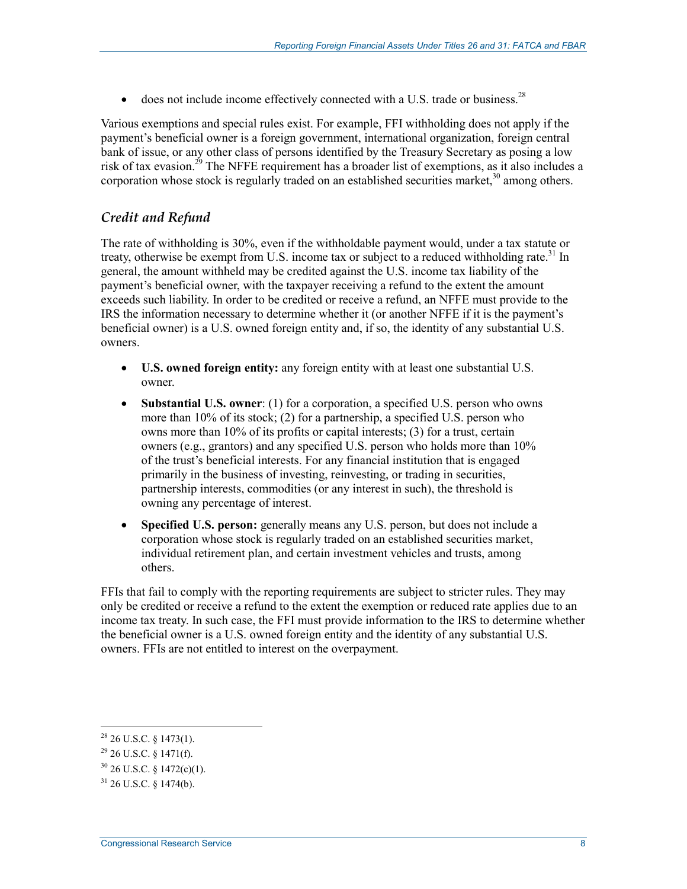• does not include income effectively connected with a U.S. trade or business.<sup>28</sup>

Various exemptions and special rules exist. For example, FFI withholding does not apply if the payment's beneficial owner is a foreign government, international organization, foreign central bank of issue, or any other class of persons identified by the Treasury Secretary as posing a low risk of tax evasion.<sup>29</sup> The NFFE requirement has a broader list of exemptions, as it also includes a corporation whose stock is regularly traded on an established securities market,  $30$  among others.

### *Credit and Refund*

The rate of withholding is 30%, even if the withholdable payment would, under a tax statute or treaty, otherwise be exempt from U.S. income tax or subject to a reduced withholding rate.<sup>31</sup> In general, the amount withheld may be credited against the U.S. income tax liability of the payment's beneficial owner, with the taxpayer receiving a refund to the extent the amount exceeds such liability. In order to be credited or receive a refund, an NFFE must provide to the IRS the information necessary to determine whether it (or another NFFE if it is the payment's beneficial owner) is a U.S. owned foreign entity and, if so, the identity of any substantial U.S. owners.

- **U.S. owned foreign entity:** any foreign entity with at least one substantial U.S. owner.
- **Substantial U.S. owner**: (1) for a corporation, a specified U.S. person who owns more than 10% of its stock; (2) for a partnership, a specified U.S. person who owns more than 10% of its profits or capital interests; (3) for a trust, certain owners (e.g., grantors) and any specified U.S. person who holds more than 10% of the trust's beneficial interests. For any financial institution that is engaged primarily in the business of investing, reinvesting, or trading in securities, partnership interests, commodities (or any interest in such), the threshold is owning any percentage of interest.
- **Specified U.S. person:** generally means any U.S. person, but does not include a corporation whose stock is regularly traded on an established securities market, individual retirement plan, and certain investment vehicles and trusts, among others.

FFIs that fail to comply with the reporting requirements are subject to stricter rules. They may only be credited or receive a refund to the extent the exemption or reduced rate applies due to an income tax treaty. In such case, the FFI must provide information to the IRS to determine whether the beneficial owner is a U.S. owned foreign entity and the identity of any substantial U.S. owners. FFIs are not entitled to interest on the overpayment.

 $^{28}$  26 U.S.C. § 1473(1).

 $29$  26 U.S.C. § 1471(f).

 $30$  26 U.S.C. § 1472(c)(1).

 $31$  26 U.S.C.  $8$  1474(b).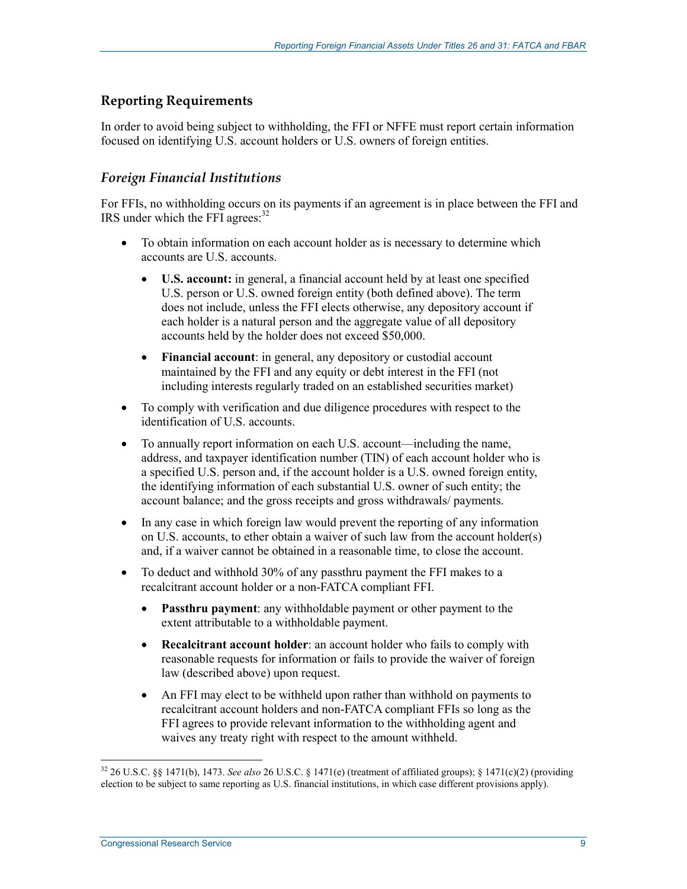### **Reporting Requirements**

In order to avoid being subject to withholding, the FFI or NFFE must report certain information focused on identifying U.S. account holders or U.S. owners of foreign entities.

### *Foreign Financial Institutions*

For FFIs, no withholding occurs on its payments if an agreement is in place between the FFI and IRS under which the FFI agrees:<sup>32</sup>

- To obtain information on each account holder as is necessary to determine which accounts are U.S. accounts.
	- **U.S. account:** in general, a financial account held by at least one specified U.S. person or U.S. owned foreign entity (both defined above). The term does not include, unless the FFI elects otherwise, any depository account if each holder is a natural person and the aggregate value of all depository accounts held by the holder does not exceed \$50,000.
	- **Financial account**: in general, any depository or custodial account maintained by the FFI and any equity or debt interest in the FFI (not including interests regularly traded on an established securities market)
- To comply with verification and due diligence procedures with respect to the identification of U.S. accounts.
- To annually report information on each U.S. account—including the name, address, and taxpayer identification number (TIN) of each account holder who is a specified U.S. person and, if the account holder is a U.S. owned foreign entity, the identifying information of each substantial U.S. owner of such entity; the account balance; and the gross receipts and gross withdrawals/ payments.
- In any case in which foreign law would prevent the reporting of any information on U.S. accounts, to ether obtain a waiver of such law from the account holder(s) and, if a waiver cannot be obtained in a reasonable time, to close the account.
- To deduct and withhold 30% of any passthru payment the FFI makes to a recalcitrant account holder or a non-FATCA compliant FFI.
	- **Passthru payment**: any withholdable payment or other payment to the extent attributable to a withholdable payment.
	- **Recalcitrant account holder**: an account holder who fails to comply with reasonable requests for information or fails to provide the waiver of foreign law (described above) upon request.
	- An FFI may elect to be withheld upon rather than withhold on payments to recalcitrant account holders and non-FATCA compliant FFIs so long as the FFI agrees to provide relevant information to the withholding agent and waives any treaty right with respect to the amount withheld.

<sup>32 26</sup> U.S.C. §§ 1471(b), 1473. *See also* 26 U.S.C. § 1471(e) (treatment of affiliated groups); § 1471(c)(2) (providing election to be subject to same reporting as U.S. financial institutions, in which case different provisions apply).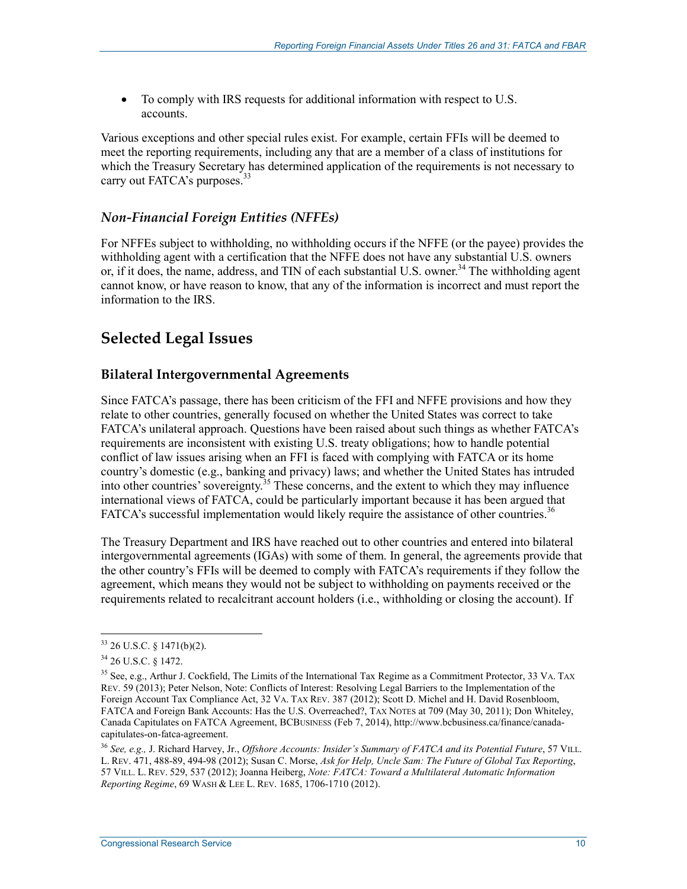• To comply with IRS requests for additional information with respect to U.S. accounts.

Various exceptions and other special rules exist. For example, certain FFIs will be deemed to meet the reporting requirements, including any that are a member of a class of institutions for which the Treasury Secretary has determined application of the requirements is not necessary to carry out FATCA's purposes.<sup>33</sup>

### *Non-Financial Foreign Entities (NFFEs)*

For NFFEs subject to withholding, no withholding occurs if the NFFE (or the payee) provides the withholding agent with a certification that the NFFE does not have any substantial U.S. owners or, if it does, the name, address, and TIN of each substantial U.S. owner.<sup>34</sup> The withholding agent cannot know, or have reason to know, that any of the information is incorrect and must report the information to the IRS.

## **Selected Legal Issues**

### **Bilateral Intergovernmental Agreements**

Since FATCA's passage, there has been criticism of the FFI and NFFE provisions and how they relate to other countries, generally focused on whether the United States was correct to take FATCA's unilateral approach. Questions have been raised about such things as whether FATCA's requirements are inconsistent with existing U.S. treaty obligations; how to handle potential conflict of law issues arising when an FFI is faced with complying with FATCA or its home country's domestic (e.g., banking and privacy) laws; and whether the United States has intruded into other countries' sovereignty.35 These concerns, and the extent to which they may influence international views of FATCA, could be particularly important because it has been argued that FATCA's successful implementation would likely require the assistance of other countries.<sup>36</sup>

The Treasury Department and IRS have reached out to other countries and entered into bilateral intergovernmental agreements (IGAs) with some of them. In general, the agreements provide that the other country's FFIs will be deemed to comply with FATCA's requirements if they follow the agreement, which means they would not be subject to withholding on payments received or the requirements related to recalcitrant account holders (i.e., withholding or closing the account). If

 $33$  26 U.S.C. § 1471(b)(2).

<sup>34 26</sup> U.S.C. § 1472.

<sup>&</sup>lt;sup>35</sup> See, e.g., Arthur J. Cockfield, The Limits of the International Tax Regime as a Commitment Protector, 33 VA. TAX REV. 59 (2013); Peter Nelson, Note: Conflicts of Interest: Resolving Legal Barriers to the Implementation of the Foreign Account Tax Compliance Act, 32 VA. TAX REV. 387 (2012); Scott D. Michel and H. David Rosenbloom, FATCA and Foreign Bank Accounts: Has the U.S. Overreached?, TAX NOTES at 709 (May 30, 2011); Don Whiteley, Canada Capitulates on FATCA Agreement, BCBUSINESS (Feb 7, 2014), http://www.bcbusiness.ca/finance/canadacapitulates-on-fatca-agreement.

<sup>36</sup> *See, e.g.,* J. Richard Harvey, Jr., *Offshore Accounts: Insider's Summary of FATCA and its Potential Future*, 57 VILL. L. REV. 471, 488-89, 494-98 (2012); Susan C. Morse, *Ask for Help, Uncle Sam: The Future of Global Tax Reporting*, 57 VILL. L. REV. 529, 537 (2012); Joanna Heiberg, *Note: FATCA: Toward a Multilateral Automatic Information Reporting Regime*, 69 WASH & LEE L. REV. 1685, 1706-1710 (2012).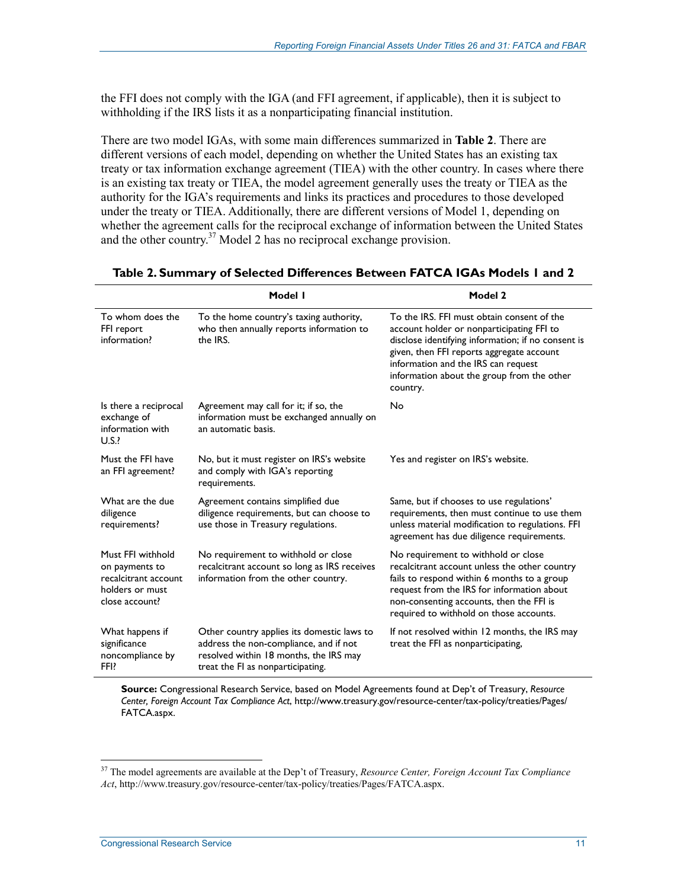the FFI does not comply with the IGA (and FFI agreement, if applicable), then it is subject to withholding if the IRS lists it as a nonparticipating financial institution.

There are two model IGAs, with some main differences summarized in **Table 2**. There are different versions of each model, depending on whether the United States has an existing tax treaty or tax information exchange agreement (TIEA) with the other country. In cases where there is an existing tax treaty or TIEA, the model agreement generally uses the treaty or TIEA as the authority for the IGA's requirements and links its practices and procedures to those developed under the treaty or TIEA. Additionally, there are different versions of Model 1, depending on whether the agreement calls for the reciprocal exchange of information between the United States and the other country.<sup>37</sup> Model 2 has no reciprocal exchange provision.

|                                                                                                  | Model I                                                                                                                                                             | Model 2                                                                                                                                                                                                                                                                                     |
|--------------------------------------------------------------------------------------------------|---------------------------------------------------------------------------------------------------------------------------------------------------------------------|---------------------------------------------------------------------------------------------------------------------------------------------------------------------------------------------------------------------------------------------------------------------------------------------|
| To whom does the<br>FFI report<br>information?                                                   | To the home country's taxing authority,<br>who then annually reports information to<br>the IRS.                                                                     | To the IRS. FFI must obtain consent of the<br>account holder or nonparticipating FFI to<br>disclose identifying information; if no consent is<br>given, then FFI reports aggregate account<br>information and the IRS can request<br>information about the group from the other<br>country. |
| Is there a reciprocal<br>exchange of<br>information with<br>U.S.                                 | Agreement may call for it; if so, the<br>information must be exchanged annually on<br>an automatic basis.                                                           | No                                                                                                                                                                                                                                                                                          |
| Must the FFI have<br>an FFI agreement?                                                           | No, but it must register on IRS's website<br>and comply with IGA's reporting<br>requirements.                                                                       | Yes and register on IRS's website.                                                                                                                                                                                                                                                          |
| What are the due<br>diligence<br>requirements?                                                   | Agreement contains simplified due<br>diligence requirements, but can choose to<br>use those in Treasury regulations.                                                | Same, but if chooses to use regulations'<br>requirements, then must continue to use them<br>unless material modification to regulations. FFI<br>agreement has due diligence requirements.                                                                                                   |
| Must FFI withhold<br>on payments to<br>recalcitrant account<br>holders or must<br>close account? | No requirement to withhold or close<br>recalcitrant account so long as IRS receives<br>information from the other country.                                          | No requirement to withhold or close<br>recalcitrant account unless the other country<br>fails to respond within 6 months to a group<br>request from the IRS for information about<br>non-consenting accounts, then the FFI is<br>required to withhold on those accounts.                    |
| What happens if<br>significance<br>noncompliance by<br>FFI?                                      | Other country applies its domestic laws to<br>address the non-compliance, and if not<br>resolved within 18 months, the IRS may<br>treat the FI as nonparticipating. | If not resolved within 12 months, the IRS may<br>treat the FFI as nonparticipating,                                                                                                                                                                                                         |

#### **Table 2. Summary of Selected Differences Between FATCA IGAs Models 1 and 2**

**Source:** Congressional Research Service, based on Model Agreements found at Dep't of Treasury, *Resource Center, Foreign Account Tax Compliance Act*, http://www.treasury.gov/resource-center/tax-policy/treaties/Pages/ FATCA.aspx.

<sup>37</sup> The model agreements are available at the Dep't of Treasury, *Resource Center, Foreign Account Tax Compliance Act*, http://www.treasury.gov/resource-center/tax-policy/treaties/Pages/FATCA.aspx.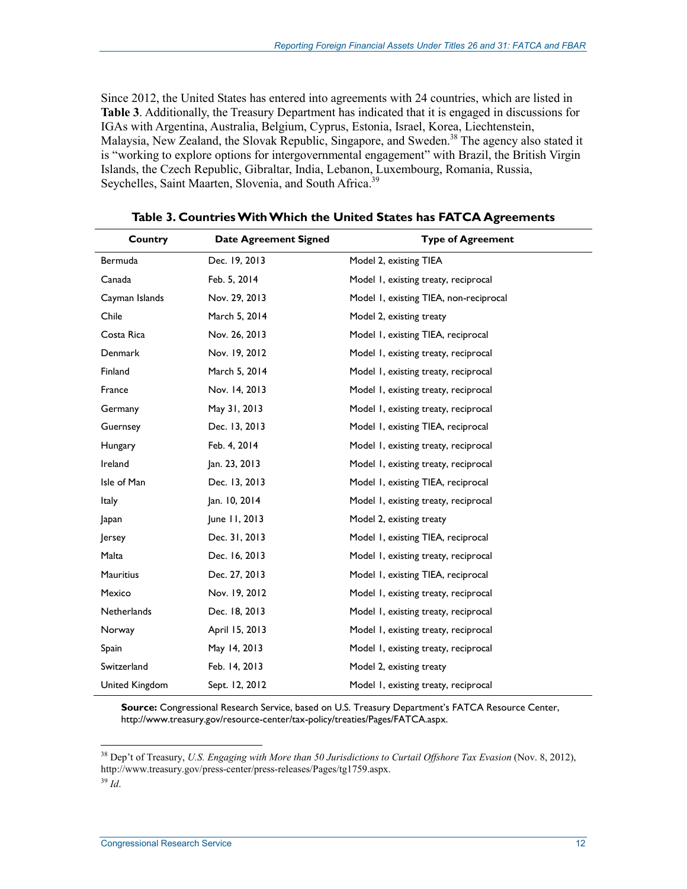Since 2012, the United States has entered into agreements with 24 countries, which are listed in **Table 3**. Additionally, the Treasury Department has indicated that it is engaged in discussions for IGAs with Argentina, Australia, Belgium, Cyprus, Estonia, Israel, Korea, Liechtenstein, Malaysia, New Zealand, the Slovak Republic, Singapore, and Sweden.<sup>38</sup> The agency also stated it is "working to explore options for intergovernmental engagement" with Brazil, the British Virgin Islands, the Czech Republic, Gibraltar, India, Lebanon, Luxembourg, Romania, Russia, Seychelles, Saint Maarten, Slovenia, and South Africa.<sup>39</sup>

| Country            | <b>Date Agreement Signed</b> | <b>Type of Agreement</b>               |
|--------------------|------------------------------|----------------------------------------|
| Bermuda            | Dec. 19, 2013                | Model 2, existing TIEA                 |
| Canada             | Feb. 5, 2014                 | Model 1, existing treaty, reciprocal   |
| Cayman Islands     | Nov. 29, 2013                | Model 1, existing TIEA, non-reciprocal |
| Chile              | March 5, 2014                | Model 2, existing treaty               |
| Costa Rica         | Nov. 26, 2013                | Model 1, existing TIEA, reciprocal     |
| <b>Denmark</b>     | Nov. 19, 2012                | Model 1, existing treaty, reciprocal   |
| Finland            | March 5, 2014                | Model I, existing treaty, reciprocal   |
| France             | Nov. 14, 2013                | Model I, existing treaty, reciprocal   |
| Germany            | May 31, 2013                 | Model 1, existing treaty, reciprocal   |
| Guernsey           | Dec. 13, 2013                | Model 1, existing TIEA, reciprocal     |
| Hungary            | Feb. 4, 2014                 | Model 1, existing treaty, reciprocal   |
| Ireland            | Jan. 23, 2013                | Model 1, existing treaty, reciprocal   |
| Isle of Man        | Dec. 13, 2013                | Model I, existing TIEA, reciprocal     |
| Italy              | Jan. 10, 2014                | Model 1, existing treaty, reciprocal   |
| Japan              | June 11, 2013                | Model 2, existing treaty               |
| Jersey             | Dec. 31, 2013                | Model 1, existing TIEA, reciprocal     |
| Malta              | Dec. 16, 2013                | Model 1, existing treaty, reciprocal   |
| <b>Mauritius</b>   | Dec. 27, 2013                | Model I, existing TIEA, reciprocal     |
| Mexico             | Nov. 19, 2012                | Model 1, existing treaty, reciprocal   |
| <b>Netherlands</b> | Dec. 18, 2013                | Model 1, existing treaty, reciprocal   |
| Norway             | April 15, 2013               | Model I, existing treaty, reciprocal   |
| Spain              | May 14, 2013                 | Model 1, existing treaty, reciprocal   |
| Switzerland        | Feb. 14, 2013                | Model 2, existing treaty               |
| United Kingdom     | Sept. 12, 2012               | Model I, existing treaty, reciprocal   |

**Table 3. Countries With Which the United States has FATCA Agreements** 

**Source:** Congressional Research Service, based on U.S. Treasury Department's FATCA Resource Center, http://www.treasury.gov/resource-center/tax-policy/treaties/Pages/FATCA.aspx.

<sup>&</sup>lt;sup>38</sup> Dep't of Treasury, *U.S. Engaging with More than 50 Jurisdictions to Curtail Offshore Tax Evasion* (Nov. 8, 2012), http://www.treasury.gov/press-center/press-releases/Pages/tg1759.aspx.

<sup>39</sup> *Id*.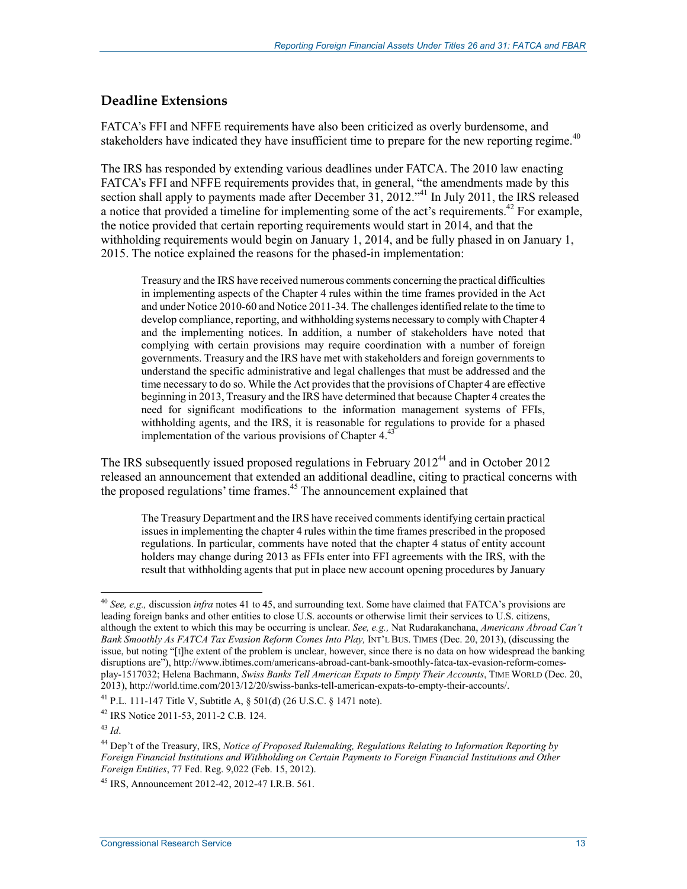### **Deadline Extensions**

FATCA's FFI and NFFE requirements have also been criticized as overly burdensome, and stakeholders have indicated they have insufficient time to prepare for the new reporting regime.<sup>40</sup>

The IRS has responded by extending various deadlines under FATCA. The 2010 law enacting FATCA's FFI and NFFE requirements provides that, in general, "the amendments made by this section shall apply to payments made after December 31, 2012."<sup>41</sup> In July 2011, the IRS released a notice that provided a timeline for implementing some of the act's requirements.<sup>42</sup> For example, the notice provided that certain reporting requirements would start in 2014, and that the withholding requirements would begin on January 1, 2014, and be fully phased in on January 1, 2015. The notice explained the reasons for the phased-in implementation:

Treasury and the IRS have received numerous comments concerning the practical difficulties in implementing aspects of the Chapter 4 rules within the time frames provided in the Act and under Notice 2010-60 and Notice 2011-34. The challenges identified relate to the time to develop compliance, reporting, and withholding systems necessary to comply with Chapter 4 and the implementing notices. In addition, a number of stakeholders have noted that complying with certain provisions may require coordination with a number of foreign governments. Treasury and the IRS have met with stakeholders and foreign governments to understand the specific administrative and legal challenges that must be addressed and the time necessary to do so. While the Act provides that the provisions of Chapter 4 are effective beginning in 2013, Treasury and the IRS have determined that because Chapter 4 creates the need for significant modifications to the information management systems of FFIs, withholding agents, and the IRS, it is reasonable for regulations to provide for a phased implementation of the various provisions of Chapter  $4<sup>4</sup>$ 

The IRS subsequently issued proposed regulations in February  $2012^{44}$  and in October 2012 released an announcement that extended an additional deadline, citing to practical concerns with the proposed regulations' time frames.<sup>45</sup> The announcement explained that

The Treasury Department and the IRS have received comments identifying certain practical issues in implementing the chapter 4 rules within the time frames prescribed in the proposed regulations. In particular, comments have noted that the chapter 4 status of entity account holders may change during 2013 as FFIs enter into FFI agreements with the IRS, with the result that withholding agents that put in place new account opening procedures by January

<sup>40</sup> *See, e.g.,* discussion *infra* notes 41 to 45, and surrounding text. Some have claimed that FATCA's provisions are leading foreign banks and other entities to close U.S. accounts or otherwise limit their services to U.S. citizens, although the extent to which this may be occurring is unclear. *See, e.g.,* Nat Rudarakanchana, *Americans Abroad Can't Bank Smoothly As FATCA Tax Evasion Reform Comes Into Play, INT'L BUS. TIMES (Dec. 20, 2013), (discussing the* issue, but noting "[t]he extent of the problem is unclear, however, since there is no data on how widespread the banking disruptions are"), http://www.ibtimes.com/americans-abroad-cant-bank-smoothly-fatca-tax-evasion-reform-comesplay-1517032; Helena Bachmann, *Swiss Banks Tell American Expats to Empty Their Accounts*, TIME WORLD (Dec. 20, 2013), http://world.time.com/2013/12/20/swiss-banks-tell-american-expats-to-empty-their-accounts/.

<sup>&</sup>lt;sup>41</sup> P.L. 111-147 Title V, Subtitle A,  $\frac{1}{2}$  501(d) (26 U.S.C.  $\frac{1}{2}$  1471 note).

<sup>42</sup> IRS Notice 2011-53, 2011-2 C.B. 124.

<sup>43</sup> *Id*.

<sup>44</sup> Dep't of the Treasury, IRS, *Notice of Proposed Rulemaking, Regulations Relating to Information Reporting by Foreign Financial Institutions and Withholding on Certain Payments to Foreign Financial Institutions and Other Foreign Entities*, 77 Fed. Reg. 9,022 (Feb. 15, 2012).

<sup>45</sup> IRS, Announcement 2012-42, 2012-47 I.R.B. 561.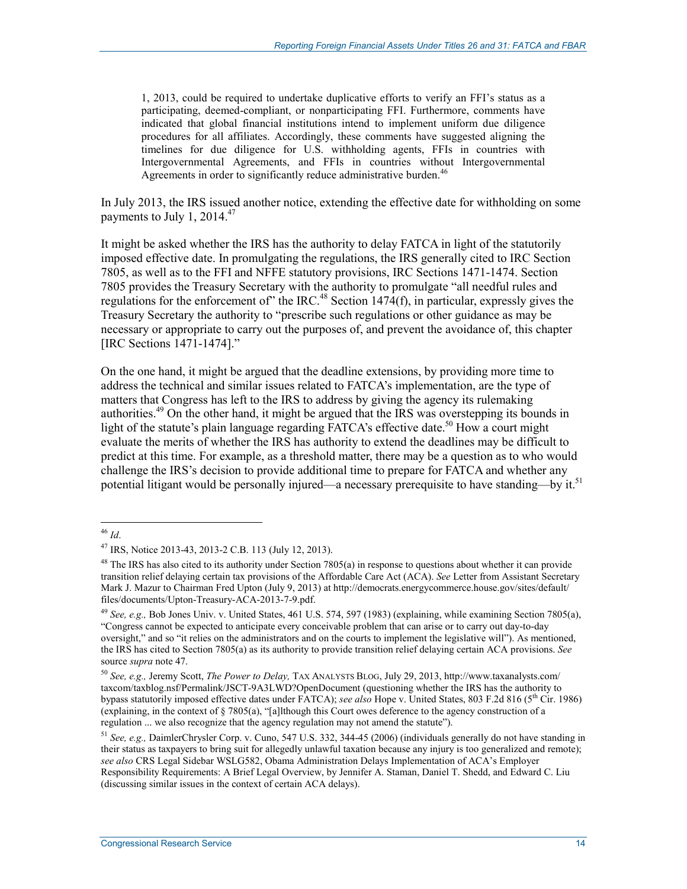1, 2013, could be required to undertake duplicative efforts to verify an FFI's status as a participating, deemed-compliant, or nonparticipating FFI. Furthermore, comments have indicated that global financial institutions intend to implement uniform due diligence procedures for all affiliates. Accordingly, these comments have suggested aligning the timelines for due diligence for U.S. withholding agents, FFIs in countries with Intergovernmental Agreements, and FFIs in countries without Intergovernmental Agreements in order to significantly reduce administrative burden.<sup>46</sup>

In July 2013, the IRS issued another notice, extending the effective date for withholding on some payments to July 1,  $2014.<sup>47</sup>$ 

It might be asked whether the IRS has the authority to delay FATCA in light of the statutorily imposed effective date. In promulgating the regulations, the IRS generally cited to IRC Section 7805, as well as to the FFI and NFFE statutory provisions, IRC Sections 1471-1474. Section 7805 provides the Treasury Secretary with the authority to promulgate "all needful rules and regulations for the enforcement of" the IRC.<sup>48</sup> Section  $1474(f)$ , in particular, expressly gives the Treasury Secretary the authority to "prescribe such regulations or other guidance as may be necessary or appropriate to carry out the purposes of, and prevent the avoidance of, this chapter [IRC Sections 1471-1474]."

On the one hand, it might be argued that the deadline extensions, by providing more time to address the technical and similar issues related to FATCA's implementation, are the type of matters that Congress has left to the IRS to address by giving the agency its rulemaking authorities.<sup>49</sup> On the other hand, it might be argued that the IRS was overstepping its bounds in light of the statute's plain language regarding  $\overline{PATCA}$ 's effective date.<sup>50</sup> How a court might evaluate the merits of whether the IRS has authority to extend the deadlines may be difficult to predict at this time. For example, as a threshold matter, there may be a question as to who would challenge the IRS's decision to provide additional time to prepare for FATCA and whether any potential litigant would be personally injured—a necessary prerequisite to have standing—by it.<sup>51</sup>

<sup>&</sup>lt;u>.</u> <sup>46</sup> *Id*.

<sup>47</sup> IRS, Notice 2013-43, 2013-2 C.B. 113 (July 12, 2013).

<sup>&</sup>lt;sup>48</sup> The IRS has also cited to its authority under Section 7805(a) in response to questions about whether it can provide transition relief delaying certain tax provisions of the Affordable Care Act (ACA). *See* Letter from Assistant Secretary Mark J. Mazur to Chairman Fred Upton (July 9, 2013) at http://democrats.energycommerce.house.gov/sites/default/ files/documents/Upton-Treasury-ACA-2013-7-9.pdf.

<sup>49</sup> *See, e.g.,* Bob Jones Univ. v. United States, 461 U.S. 574, 597 (1983) (explaining, while examining Section 7805(a), "Congress cannot be expected to anticipate every conceivable problem that can arise or to carry out day-to-day oversight," and so "it relies on the administrators and on the courts to implement the legislative will"). As mentioned, the IRS has cited to Section 7805(a) as its authority to provide transition relief delaying certain ACA provisions. *See* source *supra* note 47.

<sup>50</sup> *See, e.g.,* Jeremy Scott, *The Power to Delay,* TAX ANALYSTS BLOG, July 29, 2013, http://www.taxanalysts.com/ taxcom/taxblog.nsf/Permalink/JSCT-9A3LWD?OpenDocument (questioning whether the IRS has the authority to bypass statutorily imposed effective dates under FATCA); *see also* Hope v. United States, 803 F.2d 816 (5th Cir. 1986) (explaining, in the context of § 7805(a), "[a]lthough this Court owes deference to the agency construction of a regulation ... we also recognize that the agency regulation may not amend the statute").

<sup>51</sup> *See, e.g.,* DaimlerChrysler Corp. v. Cuno, 547 U.S. 332, 344-45 (2006) (individuals generally do not have standing in their status as taxpayers to bring suit for allegedly unlawful taxation because any injury is too generalized and remote); *see also* CRS Legal Sidebar WSLG582, Obama Administration Delays Implementation of ACA's Employer Responsibility Requirements: A Brief Legal Overview, by Jennifer A. Staman, Daniel T. Shedd, and Edward C. Liu (discussing similar issues in the context of certain ACA delays).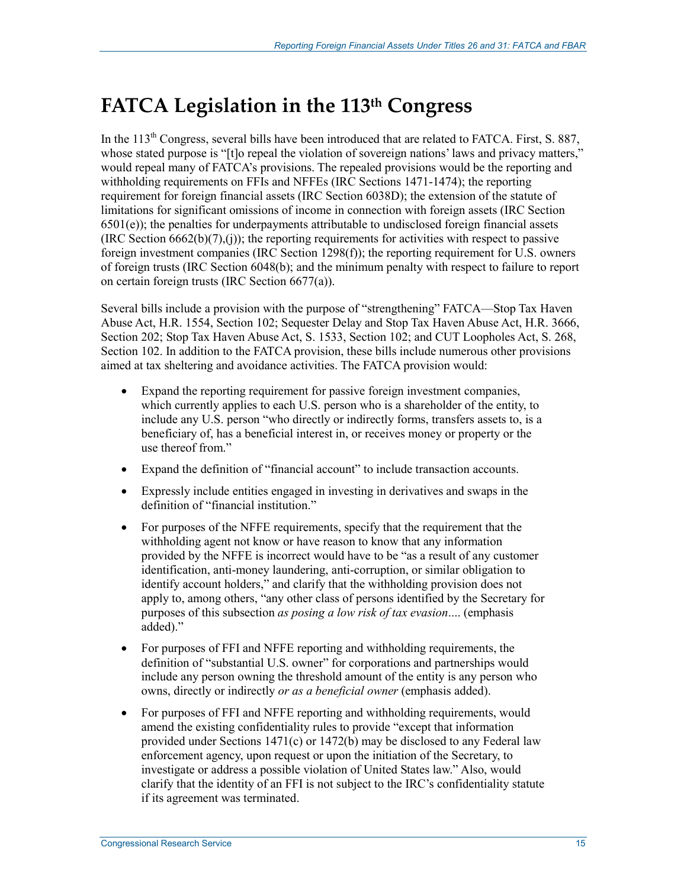## **FATCA Legislation in the 113th Congress**

In the  $113<sup>th</sup>$  Congress, several bills have been introduced that are related to FATCA. First, S. 887, whose stated purpose is "[t]o repeal the violation of sovereign nations' laws and privacy matters," would repeal many of FATCA's provisions. The repealed provisions would be the reporting and withholding requirements on FFIs and NFFEs (IRC Sections 1471-1474); the reporting requirement for foreign financial assets (IRC Section 6038D); the extension of the statute of limitations for significant omissions of income in connection with foreign assets (IRC Section  $6501(e)$ ; the penalties for underpayments attributable to undisclosed foreign financial assets  $(IRC Section 6662(b)(7), (i))$ ; the reporting requirements for activities with respect to passive foreign investment companies (IRC Section 1298(f)); the reporting requirement for U.S. owners of foreign trusts (IRC Section 6048(b); and the minimum penalty with respect to failure to report on certain foreign trusts (IRC Section 6677(a)).

Several bills include a provision with the purpose of "strengthening" FATCA—Stop Tax Haven Abuse Act, H.R. 1554, Section 102; Sequester Delay and Stop Tax Haven Abuse Act, H.R. 3666, Section 202; Stop Tax Haven Abuse Act, S. 1533, Section 102; and CUT Loopholes Act, S. 268, Section 102. In addition to the FATCA provision, these bills include numerous other provisions aimed at tax sheltering and avoidance activities. The FATCA provision would:

- Expand the reporting requirement for passive foreign investment companies, which currently applies to each U.S. person who is a shareholder of the entity, to include any U.S. person "who directly or indirectly forms, transfers assets to, is a beneficiary of, has a beneficial interest in, or receives money or property or the use thereof from."
- Expand the definition of "financial account" to include transaction accounts.
- Expressly include entities engaged in investing in derivatives and swaps in the definition of "financial institution."
- For purposes of the NFFE requirements, specify that the requirement that the withholding agent not know or have reason to know that any information provided by the NFFE is incorrect would have to be "as a result of any customer identification, anti-money laundering, anti-corruption, or similar obligation to identify account holders," and clarify that the withholding provision does not apply to, among others, "any other class of persons identified by the Secretary for purposes of this subsection *as posing a low risk of tax evasion*.... (emphasis added)."
- For purposes of FFI and NFFE reporting and withholding requirements, the definition of "substantial U.S. owner" for corporations and partnerships would include any person owning the threshold amount of the entity is any person who owns, directly or indirectly *or as a beneficial owner* (emphasis added).
- For purposes of FFI and NFFE reporting and withholding requirements, would amend the existing confidentiality rules to provide "except that information provided under Sections 1471(c) or 1472(b) may be disclosed to any Federal law enforcement agency, upon request or upon the initiation of the Secretary, to investigate or address a possible violation of United States law." Also, would clarify that the identity of an FFI is not subject to the IRC's confidentiality statute if its agreement was terminated.